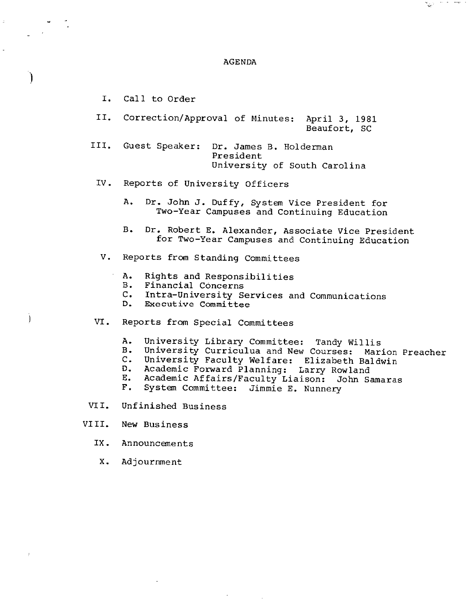#### AGENDA

ಇಲ್ಲಿ ಬರ್ಗಳು

I. Call to Order

)

Ì

- II. Correction/Approval of Minutes: April 3, 1981 Beaufort, SC
- III. Guest Speaker: Dr. James B. Holderman President University of South Carolina
- IV. Reports of University Officers
	- A. Dr. John J. Duffy, System Vice President for Two-Year Campuses and Continuing Education
	- B. Dr. Robert E. Alexander, Associate Vice President for Two-Year Campuses and Continuing Education
	- v. Reports from Standing Committees
		- A. Rights and Responsibilities
		- Financial Concerns
		- c. Intra-University Services and Communications
		- Executive Committee
- VI. Reports from Special Committees
	- A. University Library Committee: Tandy Willis<br>B. University Curriculua and New Courses: Mar
	- B. University Curriculua and New Courses: Marion Preacher<br>C. University Faculty Welfare: Elizabeth Baldwin
	- C. University Faculty Welfare: Elizabeth Baldwin
	- D. Academic Forward Planning: Larry Rowland
	- E. Academic Affairs/Faculty Liaison: John Samaras<br>F. System Committee: Jimmie E. Nunnery
	- System Committee: Jimmie E. Nunnery
- VII. Unfinished Business
- VIII. New Business
	- IX. Announcements
	- x. Adjournment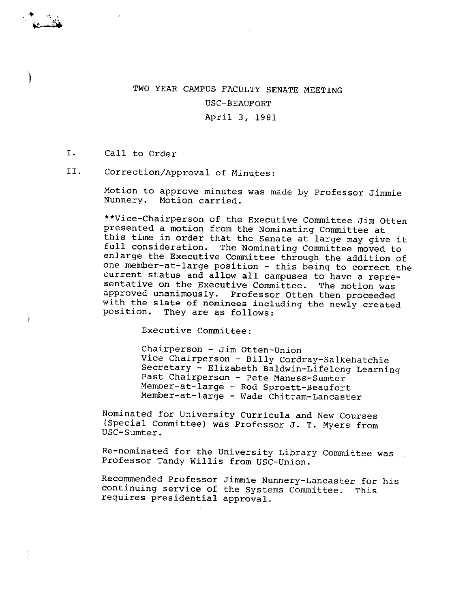# TWO YEAR CAMPUS FACULTY SENATE MEETING USC-BEAUFORT

April 3, 1981

## I. Call to Order

.. .,., . ·~~

 $\mathcal{C}$ 

 $\frac{1}{\pi}$ 

## II. Correction/Approval of Minutes:

Motion to approve minutes was made by Professor Jimmie Nunnery. Motion carried.

\*\*Vice-Chairperson of the Executive committee Jim Otten this time in order that the Senate at large may give it full consideration. The Nominating Committee moved to enlarge the Executive Committee through the addition of one member-at-large position - this being to correct the current status and allow all campuses to have a repre-sentative on the Executive Committee. The motion was approved unanimously. Professor Otten then proceeded with the slate of nominees including the newly created position. They are as follows:

Executive Committee:

Chairperson - Jim Otten-Union<br>Vice Chairperson - Billy Cordray-Salkehatchie Secretary - Elizabeth Baldwin-Lifelong Learning<br>Past Chairperson - Pete Maness-Sumter<br>Member-at-large - Rod Sproatt-Beaufort Member-at-large - Wade Chittam-Lancaster

Nominated for University Curricula and New Courses (Special Committee) was Professor J. T. Myers from USC-Sumter.

Re-nominated for the University Library Committee was Professor Tandy Willis from USC-Union.

Recommended Professor Jimmie Nunnery-Lancaster for his continuing service of the Systems Committee. This requires presidential approval.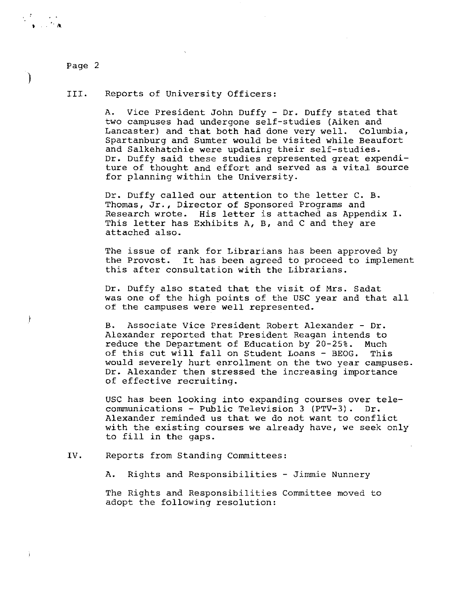)

I

### III. Reports of University Officers:

A. Vice President John Duffy - Dr. Duffy stated that two campuses had undergone self-studies (Aiken and Lancaster) and that both had done very well. Columbia, Spartanburg and Sumter would be visited while Beaufort and Salkehatchie were updating their self-studies. Dr. Duffy said these studies represented great expenditure of thought and effort and served as a vital source for planning within the University.

Dr. Duffy called our attention to the letter C. B. Thomas, Jr., Director of Sponsored Programs and Research wrote. **His** letter is attached as Appendix I. This letter has Exhibits A, B, and C and they are attached also.

The issue of rank for Librarians has been approved by the Provost. It has been agreed to proceed to implement this after consultation with the Librarians.

Dr. Duffy also stated that the visit of Mrs. Sadat was one of the high points of the USC year and that all of the campuses were well represented.

B. Associate Vice President Robert Alexander - Dr. Alexander reported that President Reagan intends to reduce the Department of Education by 20-25%. Much of this cut will fall on Student Loans - BEOG. This would severely hurt enrollment on the two year campuses. Dr. Alexander then stressed the increasing importance of effective recruiting.

USC has been looking into expanding courses over telecommunications - Public Television 3 (PTV-3). Dr. Alexander reminded us that we do not want to conflict with the existing courses we already have, we seek only to fill in the gaps.

IV. Reports from Standing Committees:

A. Rights and Responsibilities - Jimmie Nunnery

The Rights and Responsibilities Committee moved to adopt the following resolution: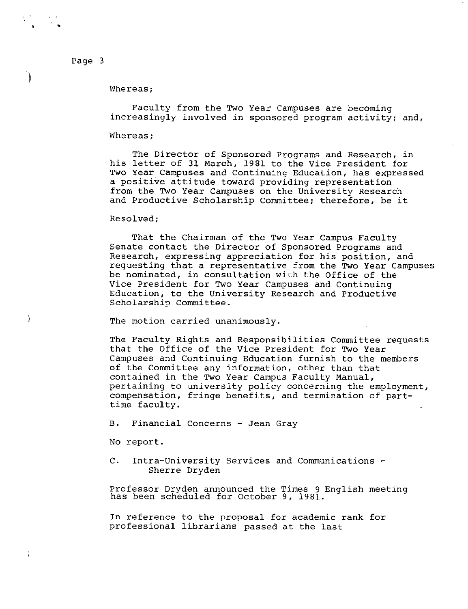)

 $\mathbf{I}$ 

#### Whereas;

Faculty from the Two Year Campuses are becoming increasingly involved in sponsored program activity; and,

#### Whereas;

The Director of Sponsored Programs and Research, in his letter of 31 March, 1981 to the Vice President for Two Year Campuses and Continuing Education, has expressed a positive attitude toward providing representation from the Two Year Campuses on the University Research and Productive Scholarship Committee; therefore, be it

#### Resolved;

That the Chairman of the Two Year Campus Faculty Senate contact the Director of Sponsored Programs and Research, expressing appreciation for his position, and requesting that a representative from the Two Year Campuses be nominated, in consultation with the Office of the Vice President for Two Year Campuses and Continuing Education, to the University Research and Productive Scholarship Committee.

The motion carried unanimously.

The Faculty Rights and Responsibilities Committee requests that the Office of the Vice President for Two Year Campuses and Continuing Education furnish to the members of the Committee any information, other than that contained in the Two Year Campus Faculty Manual, pertaining to university policy concerning the employment, compensation, fringe benefits, and termination of parttime faculty.

B. Financial Concerns - Jean Gray

No report.

C. Intra-University Services and Communications - Sherre Dryden

Professor Dryden announced the Times 9 English meeting has been scheduled for October 9, 1981.

In reference to the proposal for academic rank for professional librarians passed at the last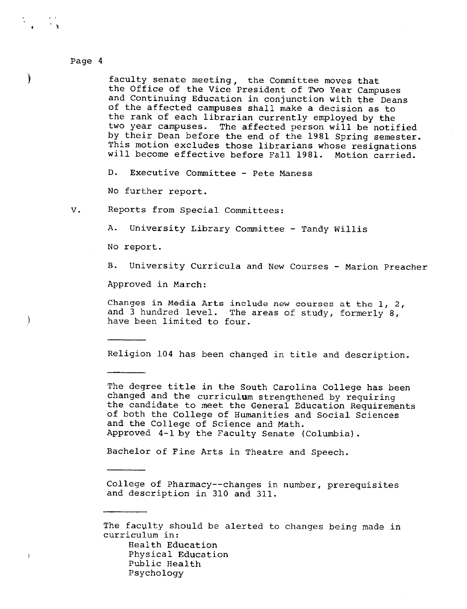'

)

 $\mathcal{E}$ 

faculty senate meeting, the Committee moves that the Office of the Vice President of Two Year Campuses and Continuing Education in conjunction with the Deans of the affected campuses shall make a decision as to the rank of each librarian currently employed by the<br>two year campuses. The affected person will be noti The affected person will be notified by their Dean before the end of the 1981 Spring semester. This motion excludes those librarians whose resignations will become effective before Fall 1981. Motion carried.

D. Executive Committee - Pete Maness

No further report.

v. Reports from Special Committees:

A. University Library Committee - Tandy Willis

No report.

B. University Curricula and New Courses - Marion Preacher

Approved in March:

Changes in Media Arts include new courses at the 1, 2, and 3 hundred level. The areas of study, formerly 8, have been limited to four.

Religion 104 has been changed in title and description.

The degree title in the South Carolina College has been changed and the curriculum strengthened by requiring the candidate to meet the General Education Requirements of both the College of Humanities and Social Sciences and the College of Science and Math. Approved 4-1 by the Faculty Senate (Columbia).

Bachelor of Fine Arts in Theatre and Speech.

College of Pharmacy--changes in number, prerequisites and description in 310 **and** 311.

The faculty should be alerted to changes being made in curriculum in:

Health Education Physical Education Public Health Psychology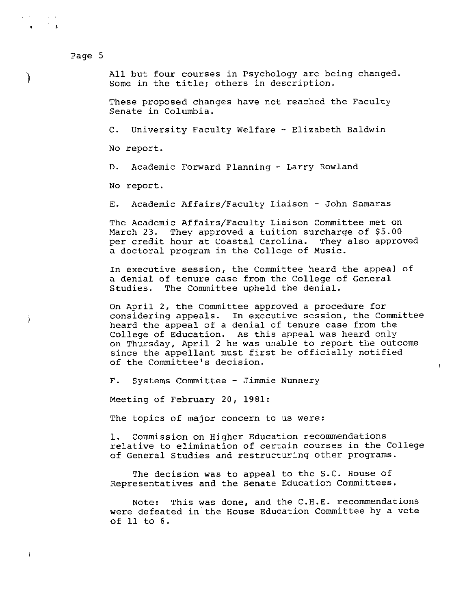$\overline{\phantom{a}}$ 

J

) All but four courses in Psychology are being changed. Some in the title; others in description.

These proposed changes have not reached the Faculty Senate in Columbia.

C. University Faculty Welfare - Elizabeth Baldwin

No report.

D. Academic Forward Planning - Larry Rowland

No report.

E. Academic Affairs/Faculty Liaison - John Samaras

The Academic Affairs/Faculty Liaison Committee met on March 23. They approved a tuition surcharge of \$5.00 per credit hour at Coastal Carolina. They also approved a doctoral program in the College of Music.

In executive session, the Committee heard the appeal of a denial of tenure case from the College of General Studies. The Committee upheld the denial.

On April 2, the Committee approved a procedure for considering appeals. In executive session, the Committee heard the appeal of a denial of tenure case from the College of Education. As this appeal was heard only on Thursday, April 2 he was unable to report the outcome since the appellant must first be officially notified of the Committee's decision.

 $\mathbf{f}$ 

F. Systems Committee - Jimmie Nunnery

Meeting of February 20, 1981:

The topics of major concern to us were:

**1.** Commission on Higher Education recommendations relative to elimination of certain courses in the College of General Studies and restructuring other programs.

The decision **was** to appeal to the S.C. House of Representatives **and** the Senate Education Committees.

Note: This was done, and the C.H.E. recommendations were defeated in the House Education Committee by a vote of **11** to 6.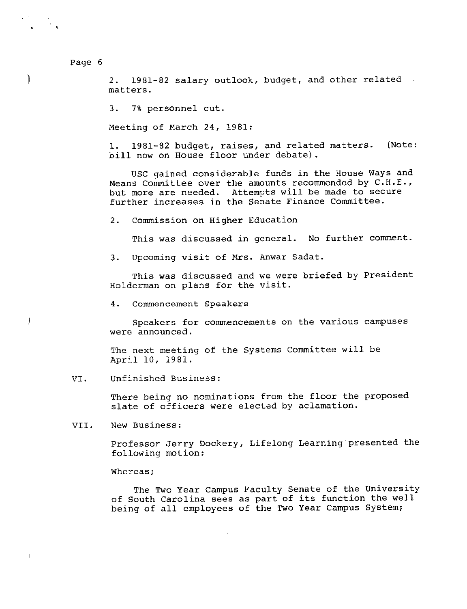)

 $\left\vert \right\rangle$ 

2. 1981-82 salary outlook, budget, and other related matters.

3. 7% personnel cut.

Meeting of March 24, 1981:

1. 1981-82 budget, raises, and related matters. bill now on House floor under debate). (Note:

USC gained considerable funds in the House Ways and Means Committee over the amounts recommended by C.H.E., but more are needed. Attempts will be made to secure further increases in the Senate Finance Committee.

2. Commission on Higher Education

This was discussed in general. No further comment.

3. Upcoming visit of Mrs. Anwar Sadat.

This was discussed and we were briefed by President Holderman on plans for the visit.

4. Commencement Speakers

Speakers for commencements on the various campuses were announced.

The next meeting of the Systems Committee will be April 10, 1981.

VI. Unfinished Business:

There being no nominations from the floor the proposed slate of officers were elected by aclamation.

VII. New Business:

> Professor Jerry Dockery, Lifelong Learning presented the following motion:

Whereas;

The Two Year Campus Faculty Senate of the University of South Carolina sees as part of its function the well being of all employees of the Two Year Campus System;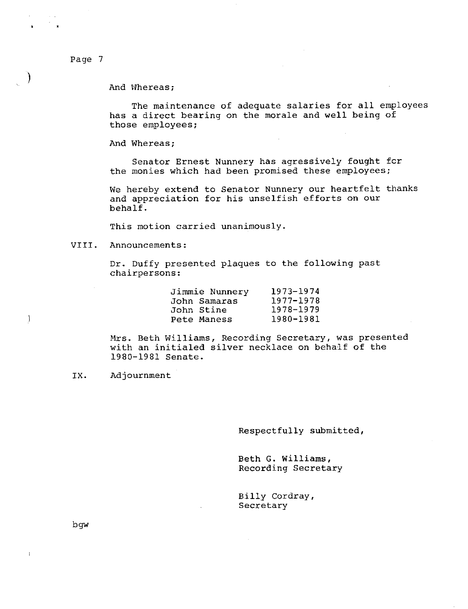)

 $\,$ 

And Whereas;

The maintenance of adequate salaries for all employees has a direct bearing on the morale and well being of those employees;

And Whereas;

Senator Ernest Nunnery has agressively fought for the monies which had been promised these employees;

We hereby extend to Senator Nunnery our heartfelt thanks and appreciation for his unselfish efforts on our behalf.

This motion carried unanimously.

VIII. Announcements:

Dr. Duffy presented plaques to the following past chairpersons:

| Jimmie Nunnery | 1973-1974 |
|----------------|-----------|
| John Samaras   | 1977-1978 |
| John Stine     | 1978-1979 |
| Pete Maness    | 1980-1981 |

Mrs. Beth Williams, Recording Secretary, was presented with an initialed silver necklace on behalf of the 1980-1981 Senate.

IX. Adjournment

Respectfully submitted,

Beth G. Williams, Recording Secretary

Billy Cordray, Secretary

bgw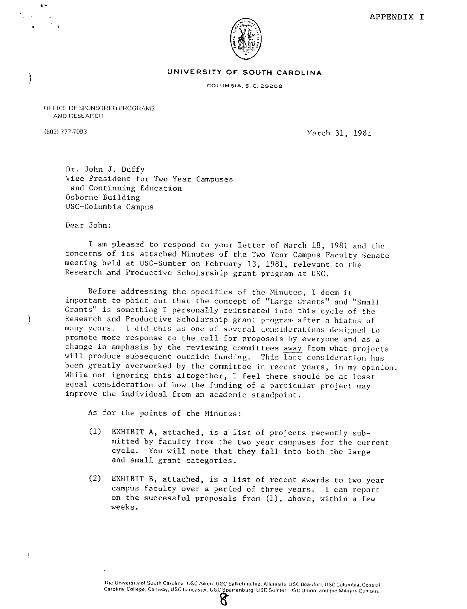

#### **UNIVERSITY OF SOUTH CAROLINA**

COLUMBIA, S. C. 29208

OFFICE OF SPONSORED PROGRAMS AND RESEARCH

)

Ì

 $\,$   $\,$ 

. "

<sup>18031</sup>*nno93* March 31, 1981

Dr. John J. Duffy Vice President for Two Year Campuses and Continuing Education Osborne Building USC-Columbia Campus

Dear John:

I am pleased to respond to your letter of March 18, 1981 and the concerns of its attached Minutes of the Two Year Campus Faculty Senate meeting held at USC-Sumter on February 13, 1981, relevant to the Research and Productive Scholarship grant program at USC.

Before addressing the specifics of the Minutes, I deem it important to point out that the concept of "Large Grants" and "Small Grants" is something I personally reinstated into this cycle of the Research and Productive Scholarship grant program after a hiatus of many years. I did this as one of several considerations designed to promote more response to the call for proposals by everyone and as a change in emphasis by the reviewing committees away from what projects will produce subsequent outside funding. This last consideration has been greatly overworked by the committee in recent years, in my opinion. While not ignoring this altogether, I feel there should be at least equal consideration of how the funding of a particular project may improve the individual from an academic standpoint.

As for the points of the Minutes:

- (1) EXHIBIT A, attached, is a list of projects recently submitted by faculty from the two year campuses for the current cycle. You will note that they fall into both the large and small grant categories.
- (2) EXHIBIT B, attached, is a list of recent awards to two year campus faculty over a period of three years. I can report on the successful proposals from (1), above, within a few weeks.

The University of South Carolina. USC Aiken, USC Salkehatchie. Allendale, USC Beaufort; USC Columbia, Coastal. Carolina College, Conway, USC Lancaster, USC Spartanburg. USC Sumter: USC Union; and the Military Campus.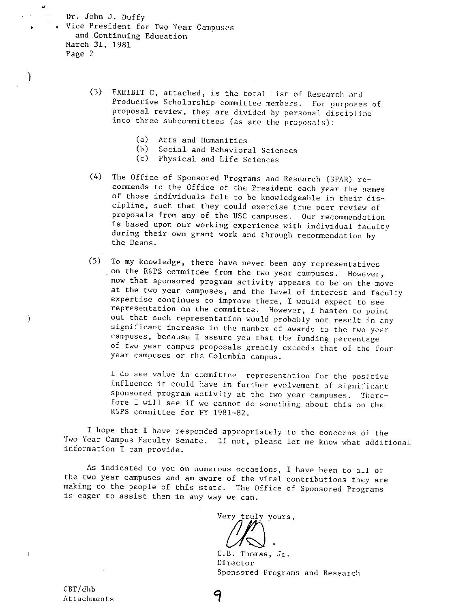Dr. John J. Duffy Vice President for Two Year Campuses and Continuing Education March 31, 1981 Page 2

•

)

 $\left\langle \right\rangle$ 

- (3) EXHIBIT C, attached, is the total list of Research and Productive Scholarship committee members. For purposes of proposal review, they are divided by personal discipline into three subcommittees (as are the proposals):
	- (a) Arts and Humanities
	- (b) Social and Behavioral Sciences
	- (c) Physical and Life Sciences
- (4) The Office of Sponsored Programs and Research (SPAR) re of those individuals felt to be knowledgeable in their dis-<br>cipline, such that they could exercise true peer review of proposals from any of the USC campuses. Our recommendation during their own grant work and through recommendation by the Deans.
- (5) To my knowledge, there have never been any representatives on the R&PS committee from the two year campuses. However, now that sponsored program activity appears to be on the move<br>at the two year campuses, and the level of interest and faculty expertise continues to improve there, I would expect to see<br>representation on the committee. However, I hasten to point out that such representation would probably not result in any significant increase in the number of awards to the two year campuses, because I assure you that the funding percentage of two year campus proposals greatly exceeds that of the four year campuses or the Columbia campus.

I do see value in committee representation for the positive<br>influence it could have in further evolvement of significant<br>sponsored program activity at the two year campuses. There-<br>fore I will see if we cannot do something R&PS committee for FY 1981-82.

<sup>I</sup>hope that I have responded appropriately to the concerns of the Two Year Campus Faculty Senate. If not, please let me know what additional information I can provide.

As indicated to you on numerous occasions, I have been to all of<br>the two year campuses and am aware of the vital contributions they are making to the people of this state. The Office of Sponsored Programs is eager to assist them in any way we can.

Very truly yours,

C.B. Thomas, Jr. Director Sponsored Programs and Research

CBT/dhb Attachments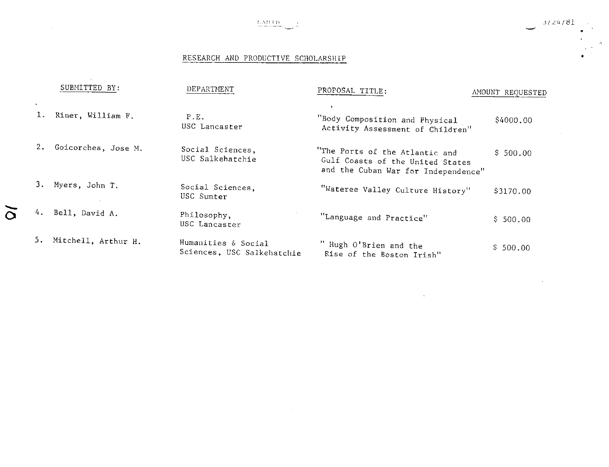

 $\sim$ 

 $\sim$   $\sim$ 

•

# RESEARCH AND PRODUCTIVE SCHOLARSHIP

 $\sim$   $\sim$ 

 $\sim 100$  km s  $^{-1}$ 

|                                |                         | SUBMITTED BY:       | DEPARTMENT                                        | PROPOSAL TITLE:                                                                                           | AMOUNT REQUESTED |
|--------------------------------|-------------------------|---------------------|---------------------------------------------------|-----------------------------------------------------------------------------------------------------------|------------------|
|                                | $\bullet$<br><b>L</b> . | Riner, William F.   | P.E.<br>USC Lancaster                             | "Body Composition and Physical<br>Activity Assessment of Children"                                        | \$4000.00        |
|                                | 2.                      | Goicorchea, Jose M. | Social Sciences,<br>USC Salkehatchie              | "The Ports of the Atlantic and<br>Gulf Coasts of the United States<br>and the Cuban War for Independence" | \$500.00         |
|                                | 3.                      | Myers, John T.      | Social Sciences,<br>USC Sumter                    | "Wateree Valley Culture History"                                                                          | \$3170.00        |
| $\boldsymbol{\mathsf{\Omega}}$ | 4.                      | Bell, David A.      | Philosophy,<br>USC Lancaster                      | "Language and Practice"                                                                                   | \$500.00         |
|                                | 5.                      | Mitchell, Arthur H. | Humanities & Social<br>Sciences, USC Salkehatchie | " Hugh O'Brien and the<br>Rise of the Boston Irish"                                                       | \$500.00         |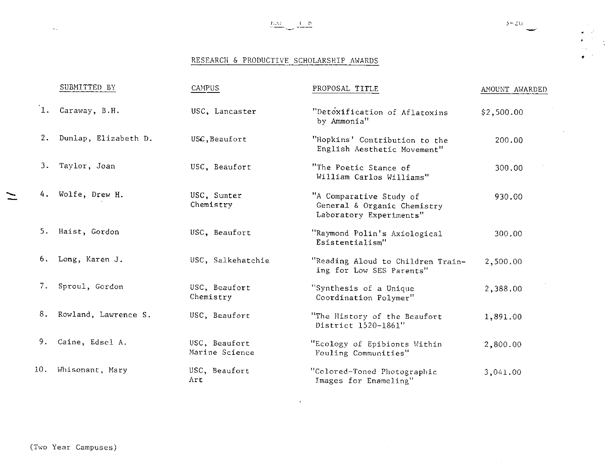•

 $\frac{1}{2}$ 

# RESEARCH & PRODUCTIVE SCHOLARSHIP AWARDS

|     | SUBMITTED BY            | CAMPUS                          | PROPOSAL TITLE                                                                    | AMOUNT AWARDED |
|-----|-------------------------|---------------------------------|-----------------------------------------------------------------------------------|----------------|
| 1.  | Caraway, B.H.           | USC, Lancaster                  | "Detoxification of Aflatoxins<br>by Ammonia"                                      | \$2,500.00     |
|     | 2. Dunlap, Elizabeth D. | USC. Beaufort                   | "Hopkins' Contribution to the<br>English Aesthetic Movement"                      | 200.00         |
|     | 3. Taylor, Joan         | USC, Beaufort                   | "The Poetic Stance of<br>William Carlos Williams"                                 | 300.00         |
|     | 4. Wolfe, Drew H.       | USC, Sumter<br>Chemistry        | "A Comparative Study of<br>General & Organic Chemistry<br>Laboratory Experiments" | 930.00         |
|     | 5. Haist, Gordon        | USC, Beaufort                   | "Raymond Polin's Axiological<br>Esistentialism"                                   | 300.00         |
|     | 6. Long, Karen J.       | USC, Salkehatchie               | "Reading Aloud to Children Train-<br>ing for Low SES Parents"                     | 2,500.00       |
| 7.  | Sproul, Gordon          | USC, Beaufort<br>Chemistry      | "Synthesis of a Unique<br>Coordination Polymer"                                   | 2,388.00       |
|     | 8. Rowland, Lawrence S. | USC, Beaufort                   | "The History of the Beaufort<br>District 1520-1861"                               | 1,891.00       |
|     | 9. Caine, Edsel A.      | USC, Beaufort<br>Marine Science | "Ecology of Epibionts Within<br>Fouling Communities"                              | 2,800.00       |
| 10. | Whisonant, Mary         | USC, Beaufort<br>Art            | "Colored-Toned Photographic<br>Images for Enameling"                              | 3,041.00       |

 $\mathcal{A}$ 

 $\sim 10^{-1}$ 

 $\sim$   $\sim$